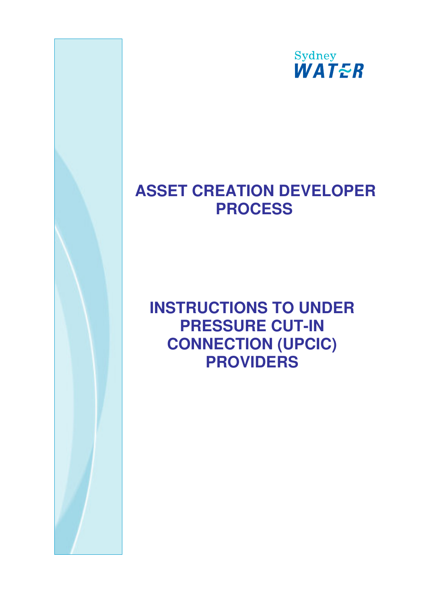

# **ASSET CREATION DEVELOPER PROCESS**

# **INSTRUCTIONS TO UNDER PRESSURE CUT-IN CONNECTION (UPCIC) PROVIDERS**

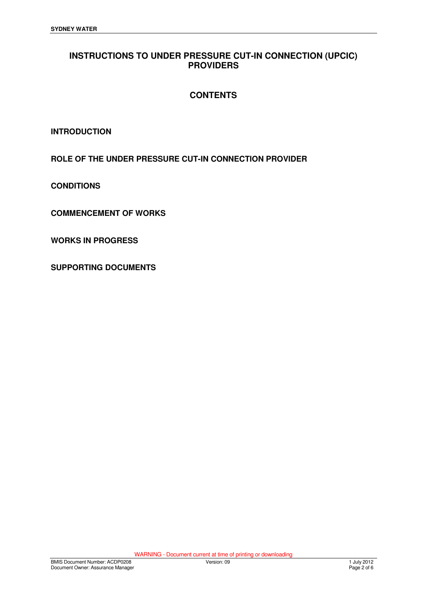## **INSTRUCTIONS TO UNDER PRESSURE CUT-IN CONNECTION (UPCIC) PROVIDERS**

## **CONTENTS**

**INTRODUCTION** 

**ROLE OF THE UNDER PRESSURE CUT-IN CONNECTION PROVIDER** 

**CONDITIONS** 

**COMMENCEMENT OF WORKS** 

**WORKS IN PROGRESS** 

**SUPPORTING DOCUMENTS**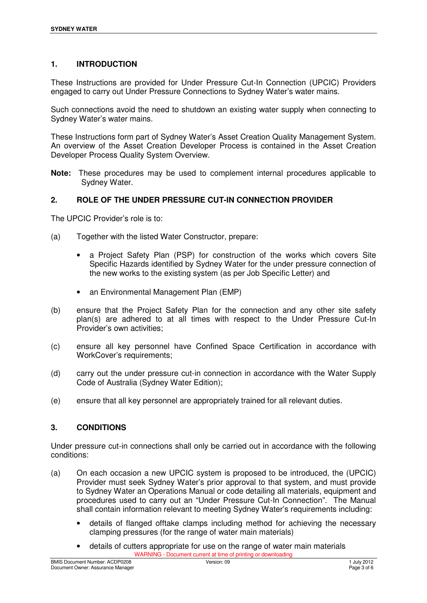### **1. INTRODUCTION**

These Instructions are provided for Under Pressure Cut-In Connection (UPCIC) Providers engaged to carry out Under Pressure Connections to Sydney Water's water mains.

Such connections avoid the need to shutdown an existing water supply when connecting to Sydney Water's water mains.

These Instructions form part of Sydney Water's Asset Creation Quality Management System. An overview of the Asset Creation Developer Process is contained in the Asset Creation Developer Process Quality System Overview.

**Note:** These procedures may be used to complement internal procedures applicable to Sydney Water.

#### **2. ROLE OF THE UNDER PRESSURE CUT-IN CONNECTION PROVIDER**

The UPCIC Provider's role is to:

- (a) Together with the listed Water Constructor, prepare:
	- a Project Safety Plan (PSP) for construction of the works which covers Site Specific Hazards identified by Sydney Water for the under pressure connection of the new works to the existing system (as per Job Specific Letter) and
	- an Environmental Management Plan (EMP)
- (b) ensure that the Project Safety Plan for the connection and any other site safety plan(s) are adhered to at all times with respect to the Under Pressure Cut-In Provider's own activities;
- (c) ensure all key personnel have Confined Space Certification in accordance with WorkCover's requirements;
- (d) carry out the under pressure cut-in connection in accordance with the Water Supply Code of Australia (Sydney Water Edition);
- (e) ensure that all key personnel are appropriately trained for all relevant duties.

#### **3. CONDITIONS**

Under pressure cut-in connections shall only be carried out in accordance with the following conditions:

- (a) On each occasion a new UPCIC system is proposed to be introduced, the (UPCIC) Provider must seek Sydney Water's prior approval to that system, and must provide to Sydney Water an Operations Manual or code detailing all materials, equipment and procedures used to carry out an "Under Pressure Cut-In Connection". The Manual shall contain information relevant to meeting Sydney Water's requirements including:
	- details of flanged offtake clamps including method for achieving the necessary clamping pressures (for the range of water main materials)
	- WARNING Document current at time of printing or downloading • details of cutters appropriate for use on the range of water main materials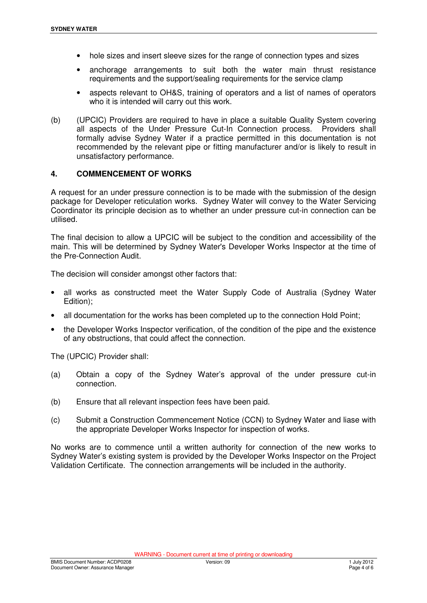- hole sizes and insert sleeve sizes for the range of connection types and sizes
- anchorage arrangements to suit both the water main thrust resistance requirements and the support/sealing requirements for the service clamp
- aspects relevant to OH&S, training of operators and a list of names of operators who it is intended will carry out this work.
- (b) (UPCIC) Providers are required to have in place a suitable Quality System covering all aspects of the Under Pressure Cut-In Connection process. Providers shall formally advise Sydney Water if a practice permitted in this documentation is not recommended by the relevant pipe or fitting manufacturer and/or is likely to result in unsatisfactory performance.

### **4. COMMENCEMENT OF WORKS**

A request for an under pressure connection is to be made with the submission of the design package for Developer reticulation works. Sydney Water will convey to the Water Servicing Coordinator its principle decision as to whether an under pressure cut-in connection can be utilised.

The final decision to allow a UPCIC will be subject to the condition and accessibility of the main. This will be determined by Sydney Water's Developer Works Inspector at the time of the Pre-Connection Audit.

The decision will consider amongst other factors that:

- all works as constructed meet the Water Supply Code of Australia (Sydney Water Edition);
- all documentation for the works has been completed up to the connection Hold Point;
- the Developer Works Inspector verification, of the condition of the pipe and the existence of any obstructions, that could affect the connection.

The (UPCIC) Provider shall:

- (a) Obtain a copy of the Sydney Water's approval of the under pressure cut-in connection.
- (b) Ensure that all relevant inspection fees have been paid.
- (c) Submit a Construction Commencement Notice (CCN) to Sydney Water and liase with the appropriate Developer Works Inspector for inspection of works.

No works are to commence until a written authority for connection of the new works to Sydney Water's existing system is provided by the Developer Works Inspector on the Project Validation Certificate. The connection arrangements will be included in the authority.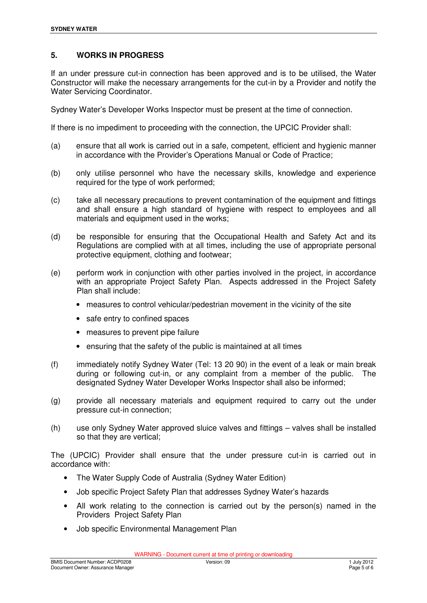#### **5. WORKS IN PROGRESS**

If an under pressure cut-in connection has been approved and is to be utilised, the Water Constructor will make the necessary arrangements for the cut-in by a Provider and notify the Water Servicing Coordinator.

Sydney Water's Developer Works Inspector must be present at the time of connection.

If there is no impediment to proceeding with the connection, the UPCIC Provider shall:

- (a) ensure that all work is carried out in a safe, competent, efficient and hygienic manner in accordance with the Provider's Operations Manual or Code of Practice;
- (b) only utilise personnel who have the necessary skills, knowledge and experience required for the type of work performed;
- (c) take all necessary precautions to prevent contamination of the equipment and fittings and shall ensure a high standard of hygiene with respect to employees and all materials and equipment used in the works;
- (d) be responsible for ensuring that the Occupational Health and Safety Act and its Regulations are complied with at all times, including the use of appropriate personal protective equipment, clothing and footwear;
- (e) perform work in conjunction with other parties involved in the project, in accordance with an appropriate Project Safety Plan. Aspects addressed in the Project Safety Plan shall include:
	- measures to control vehicular/pedestrian movement in the vicinity of the site
	- safe entry to confined spaces
	- measures to prevent pipe failure
	- ensuring that the safety of the public is maintained at all times
- (f) immediately notify Sydney Water (Tel: 13 20 90) in the event of a leak or main break during or following cut-in, or any complaint from a member of the public. The designated Sydney Water Developer Works Inspector shall also be informed;
- (g) provide all necessary materials and equipment required to carry out the under pressure cut-in connection;
- (h) use only Sydney Water approved sluice valves and fittings valves shall be installed so that they are vertical;

The (UPCIC) Provider shall ensure that the under pressure cut-in is carried out in accordance with:

- The Water Supply Code of Australia (Sydney Water Edition)
- Job specific Project Safety Plan that addresses Sydney Water's hazards
- All work relating to the connection is carried out by the person(s) named in the Providers Project Safety Plan
- Job specific Environmental Management Plan